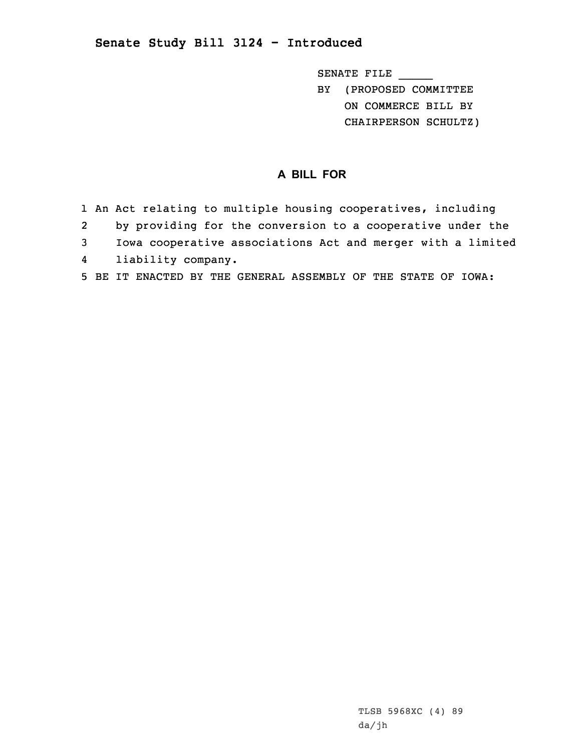## **Senate Study Bill 3124 - Introduced**

SENATE FILE \_\_\_\_\_ BY (PROPOSED COMMITTEE ON COMMERCE BILL BY CHAIRPERSON SCHULTZ)

## **A BILL FOR**

|              | 1 An Act relating to multiple housing cooperatives, including |
|--------------|---------------------------------------------------------------|
| 2            | by providing for the conversion to a cooperative under the    |
| $\mathbf{3}$ | Iowa cooperative associations Act and merger with a limited   |
|              | 4 liability company.                                          |
|              | 5 BE IT ENACTED BY THE GENERAL ASSEMBLY OF THE STATE OF IOWA: |

TLSB 5968XC (4) 89 da/jh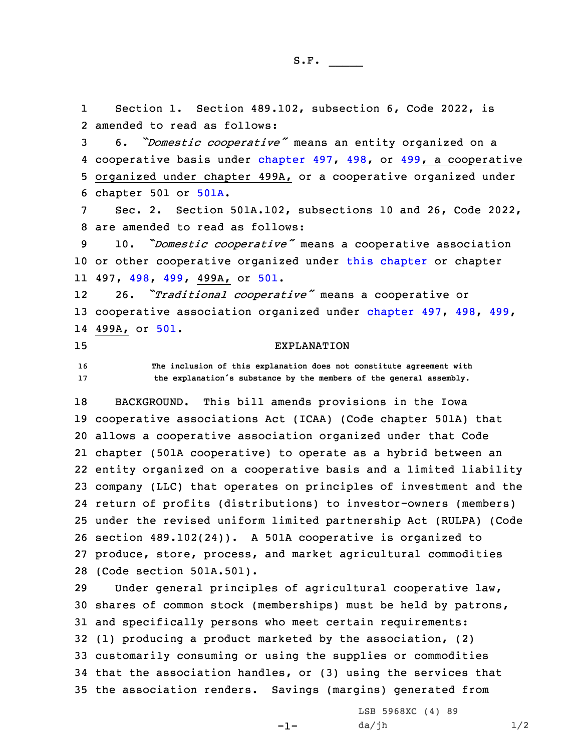1 Section 1. Section 489.102, subsection 6, Code 2022, is 2 amended to read as follows:

 6. *"Domestic cooperative"* means an entity organized on <sup>a</sup> 4 cooperative basis under [chapter](https://www.legis.iowa.gov/docs/code/2022/497.pdf) 497, [498](https://www.legis.iowa.gov/docs/code/2022/498.pdf), or [499](https://www.legis.iowa.gov/docs/code/2022/499.pdf), a cooperative organized under chapter 499A, or <sup>a</sup> cooperative organized under chapter 501 or [501A](https://www.legis.iowa.gov/docs/code/2022/501A.pdf).

7 Sec. 2. Section 501A.102, subsections 10 and 26, Code 2022, 8 are amended to read as follows:

<sup>9</sup> 10. *"Domestic cooperative"* means <sup>a</sup> cooperative association 10 or other cooperative organized under this [chapter](https://www.legis.iowa.gov/docs/code/2022/501A.pdf) or chapter 11 497, [498](https://www.legis.iowa.gov/docs/code/2022/498.pdf), [499](https://www.legis.iowa.gov/docs/code/2022/499.pdf), 499A, or [501](https://www.legis.iowa.gov/docs/code/2022/501.pdf).

12 26. *"Traditional cooperative"* means <sup>a</sup> cooperative or 13 cooperative association organized under [chapter](https://www.legis.iowa.gov/docs/code/2022/497.pdf) 497, [498](https://www.legis.iowa.gov/docs/code/2022/498.pdf), [499](https://www.legis.iowa.gov/docs/code/2022/499.pdf), 14 499A, or [501](https://www.legis.iowa.gov/docs/code/2022/501.pdf).

## 15 EXPLANATION

16 **The inclusion of this explanation does not constitute agreement with** <sup>17</sup> **the explanation's substance by the members of the general assembly.**

 BACKGROUND. This bill amends provisions in the Iowa cooperative associations Act (ICAA) (Code chapter 501A) that allows <sup>a</sup> cooperative association organized under that Code chapter (501A cooperative) to operate as <sup>a</sup> hybrid between an entity organized on <sup>a</sup> cooperative basis and <sup>a</sup> limited liability company (LLC) that operates on principles of investment and the return of profits (distributions) to investor-owners (members) under the revised uniform limited partnership Act (RULPA) (Code section 489.102(24)). <sup>A</sup> 501A cooperative is organized to produce, store, process, and market agricultural commodities (Code section 501A.501).

 Under general principles of agricultural cooperative law, shares of common stock (memberships) must be held by patrons, and specifically persons who meet certain requirements: (1) producing <sup>a</sup> product marketed by the association, (2) customarily consuming or using the supplies or commodities that the association handles, or (3) using the services that the association renders. Savings (margins) generated from

-1-

LSB 5968XC (4) 89  $da/jh$   $1/2$